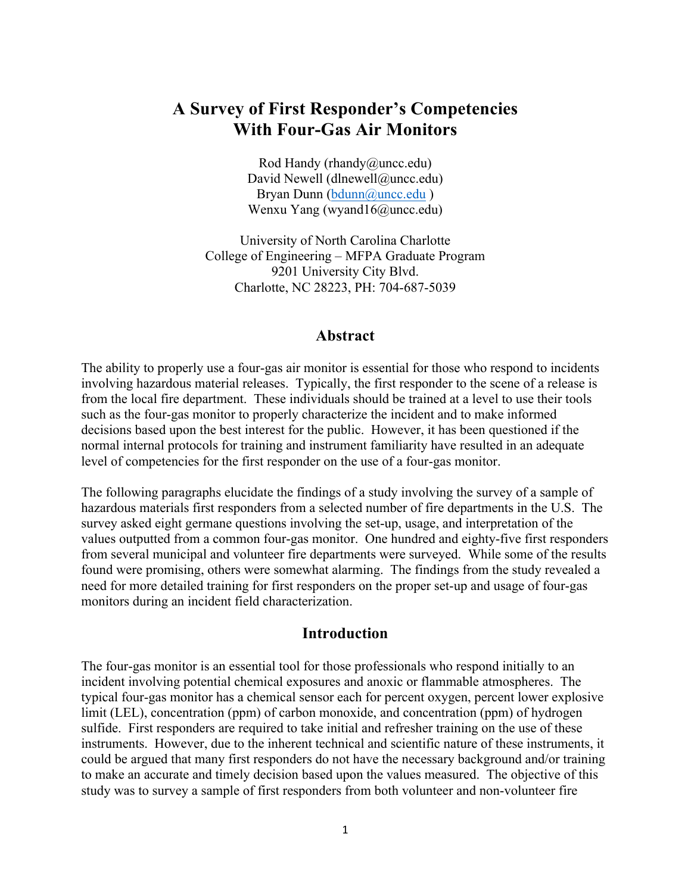# **A Survey of First Responder's Competencies With Four-Gas Air Monitors**

Rod Handy (rhandy@uncc.edu) David Newell (dlnewell@uncc.edu) Bryan Dunn (bdunn@uncc.edu) Wenxu Yang (wyand16@uncc.edu)

University of North Carolina Charlotte College of Engineering – MFPA Graduate Program 9201 University City Blvd. Charlotte, NC 28223, PH: 704-687-5039

#### **Abstract**

The ability to properly use a four-gas air monitor is essential for those who respond to incidents involving hazardous material releases. Typically, the first responder to the scene of a release is from the local fire department. These individuals should be trained at a level to use their tools such as the four-gas monitor to properly characterize the incident and to make informed decisions based upon the best interest for the public. However, it has been questioned if the normal internal protocols for training and instrument familiarity have resulted in an adequate level of competencies for the first responder on the use of a four-gas monitor.

The following paragraphs elucidate the findings of a study involving the survey of a sample of hazardous materials first responders from a selected number of fire departments in the U.S. The survey asked eight germane questions involving the set-up, usage, and interpretation of the values outputted from a common four-gas monitor. One hundred and eighty-five first responders from several municipal and volunteer fire departments were surveyed. While some of the results found were promising, others were somewhat alarming. The findings from the study revealed a need for more detailed training for first responders on the proper set-up and usage of four-gas monitors during an incident field characterization.

#### **Introduction**

The four-gas monitor is an essential tool for those professionals who respond initially to an incident involving potential chemical exposures and anoxic or flammable atmospheres. The typical four-gas monitor has a chemical sensor each for percent oxygen, percent lower explosive limit (LEL), concentration (ppm) of carbon monoxide, and concentration (ppm) of hydrogen sulfide. First responders are required to take initial and refresher training on the use of these instruments. However, due to the inherent technical and scientific nature of these instruments, it could be argued that many first responders do not have the necessary background and/or training to make an accurate and timely decision based upon the values measured. The objective of this study was to survey a sample of first responders from both volunteer and non-volunteer fire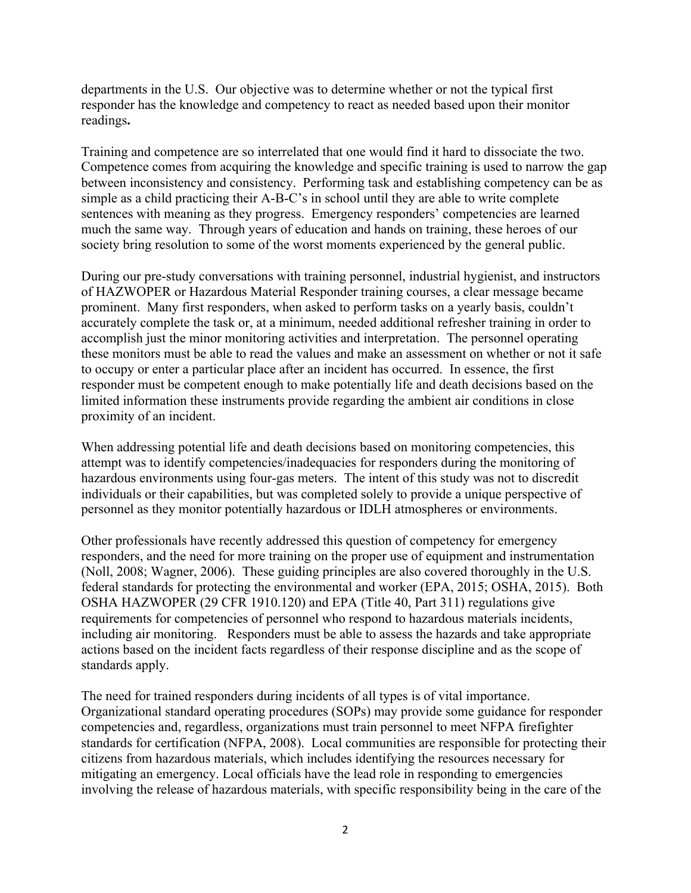departments in the U.S. Our objective was to determine whether or not the typical first responder has the knowledge and competency to react as needed based upon their monitor readings**.**

Training and competence are so interrelated that one would find it hard to dissociate the two. Competence comes from acquiring the knowledge and specific training is used to narrow the gap between inconsistency and consistency. Performing task and establishing competency can be as simple as a child practicing their A-B-C's in school until they are able to write complete sentences with meaning as they progress. Emergency responders' competencies are learned much the same way. Through years of education and hands on training, these heroes of our society bring resolution to some of the worst moments experienced by the general public.

During our pre-study conversations with training personnel, industrial hygienist, and instructors of HAZWOPER or Hazardous Material Responder training courses, a clear message became prominent. Many first responders, when asked to perform tasks on a yearly basis, couldn't accurately complete the task or, at a minimum, needed additional refresher training in order to accomplish just the minor monitoring activities and interpretation. The personnel operating these monitors must be able to read the values and make an assessment on whether or not it safe to occupy or enter a particular place after an incident has occurred. In essence, the first responder must be competent enough to make potentially life and death decisions based on the limited information these instruments provide regarding the ambient air conditions in close proximity of an incident.

When addressing potential life and death decisions based on monitoring competencies, this attempt was to identify competencies/inadequacies for responders during the monitoring of hazardous environments using four-gas meters. The intent of this study was not to discredit individuals or their capabilities, but was completed solely to provide a unique perspective of personnel as they monitor potentially hazardous or IDLH atmospheres or environments.

Other professionals have recently addressed this question of competency for emergency responders, and the need for more training on the proper use of equipment and instrumentation (Noll, 2008; Wagner, 2006). These guiding principles are also covered thoroughly in the U.S. federal standards for protecting the environmental and worker (EPA, 2015; OSHA, 2015). Both OSHA HAZWOPER (29 CFR 1910.120) and EPA (Title 40, Part 311) regulations give requirements for competencies of personnel who respond to hazardous materials incidents, including air monitoring. Responders must be able to assess the hazards and take appropriate actions based on the incident facts regardless of their response discipline and as the scope of standards apply.

The need for trained responders during incidents of all types is of vital importance. Organizational standard operating procedures (SOPs) may provide some guidance for responder competencies and, regardless, organizations must train personnel to meet NFPA firefighter standards for certification (NFPA, 2008). Local communities are responsible for protecting their citizens from hazardous materials, which includes identifying the resources necessary for mitigating an emergency. Local officials have the lead role in responding to emergencies involving the release of hazardous materials, with specific responsibility being in the care of the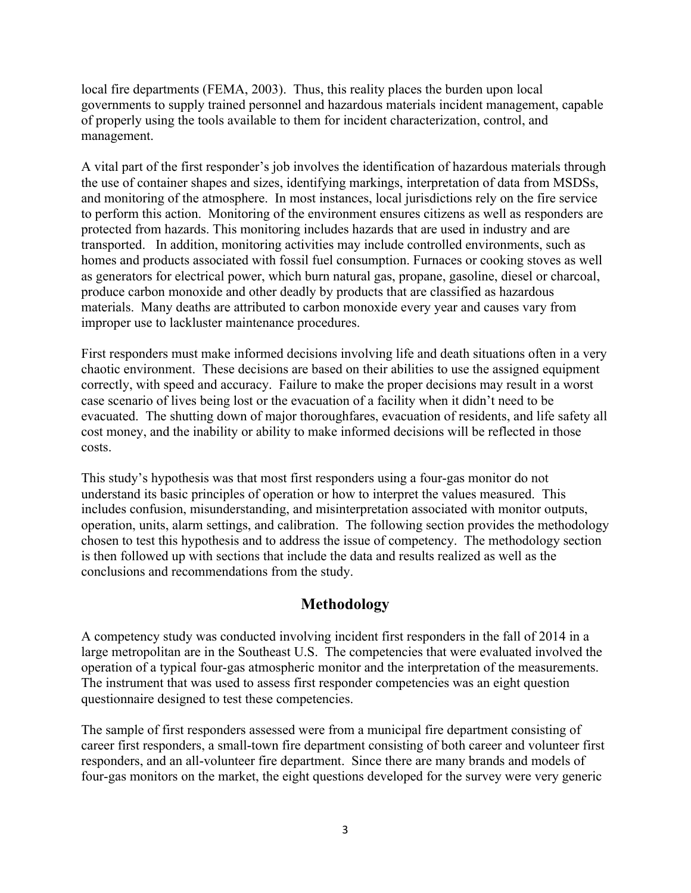local fire departments (FEMA, 2003). Thus, this reality places the burden upon local governments to supply trained personnel and hazardous materials incident management, capable of properly using the tools available to them for incident characterization, control, and management.

A vital part of the first responder's job involves the identification of hazardous materials through the use of container shapes and sizes, identifying markings, interpretation of data from MSDSs, and monitoring of the atmosphere. In most instances, local jurisdictions rely on the fire service to perform this action. Monitoring of the environment ensures citizens as well as responders are protected from hazards. This monitoring includes hazards that are used in industry and are transported. In addition, monitoring activities may include controlled environments, such as homes and products associated with fossil fuel consumption. Furnaces or cooking stoves as well as generators for electrical power, which burn natural gas, propane, gasoline, diesel or charcoal, produce carbon monoxide and other deadly by products that are classified as hazardous materials. Many deaths are attributed to carbon monoxide every year and causes vary from improper use to lackluster maintenance procedures.

First responders must make informed decisions involving life and death situations often in a very chaotic environment. These decisions are based on their abilities to use the assigned equipment correctly, with speed and accuracy. Failure to make the proper decisions may result in a worst case scenario of lives being lost or the evacuation of a facility when it didn't need to be evacuated. The shutting down of major thoroughfares, evacuation of residents, and life safety all cost money, and the inability or ability to make informed decisions will be reflected in those costs.

This study's hypothesis was that most first responders using a four-gas monitor do not understand its basic principles of operation or how to interpret the values measured. This includes confusion, misunderstanding, and misinterpretation associated with monitor outputs, operation, units, alarm settings, and calibration. The following section provides the methodology chosen to test this hypothesis and to address the issue of competency. The methodology section is then followed up with sections that include the data and results realized as well as the conclusions and recommendations from the study.

## **Methodology**

A competency study was conducted involving incident first responders in the fall of 2014 in a large metropolitan are in the Southeast U.S. The competencies that were evaluated involved the operation of a typical four-gas atmospheric monitor and the interpretation of the measurements. The instrument that was used to assess first responder competencies was an eight question questionnaire designed to test these competencies.

The sample of first responders assessed were from a municipal fire department consisting of career first responders, a small-town fire department consisting of both career and volunteer first responders, and an all-volunteer fire department. Since there are many brands and models of four-gas monitors on the market, the eight questions developed for the survey were very generic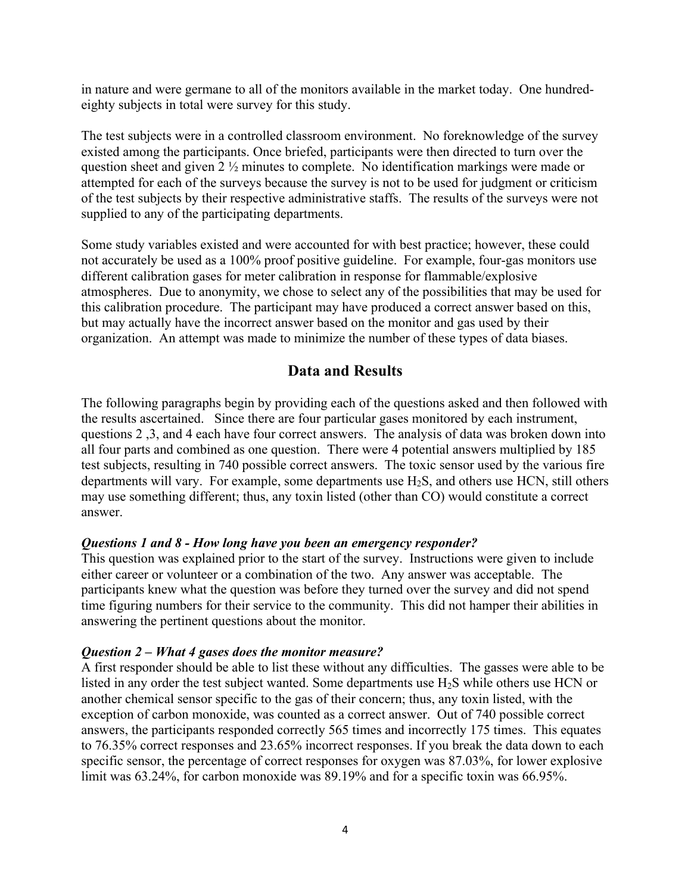in nature and were germane to all of the monitors available in the market today. One hundredeighty subjects in total were survey for this study.

The test subjects were in a controlled classroom environment. No foreknowledge of the survey existed among the participants. Once briefed, participants were then directed to turn over the question sheet and given 2 ½ minutes to complete. No identification markings were made or attempted for each of the surveys because the survey is not to be used for judgment or criticism of the test subjects by their respective administrative staffs. The results of the surveys were not supplied to any of the participating departments.

Some study variables existed and were accounted for with best practice; however, these could not accurately be used as a 100% proof positive guideline. For example, four-gas monitors use different calibration gases for meter calibration in response for flammable/explosive atmospheres. Due to anonymity, we chose to select any of the possibilities that may be used for this calibration procedure. The participant may have produced a correct answer based on this, but may actually have the incorrect answer based on the monitor and gas used by their organization. An attempt was made to minimize the number of these types of data biases.

### **Data and Results**

The following paragraphs begin by providing each of the questions asked and then followed with the results ascertained. Since there are four particular gases monitored by each instrument, questions 2 ,3, and 4 each have four correct answers. The analysis of data was broken down into all four parts and combined as one question. There were 4 potential answers multiplied by 185 test subjects, resulting in 740 possible correct answers. The toxic sensor used by the various fire departments will vary. For example, some departments use H2S, and others use HCN, still others may use something different; thus, any toxin listed (other than CO) would constitute a correct answer.

#### *Questions 1 and 8 - How long have you been an emergency responder?*

This question was explained prior to the start of the survey. Instructions were given to include either career or volunteer or a combination of the two. Any answer was acceptable. The participants knew what the question was before they turned over the survey and did not spend time figuring numbers for their service to the community. This did not hamper their abilities in answering the pertinent questions about the monitor.

#### *Question 2 – What 4 gases does the monitor measure?*

A first responder should be able to list these without any difficulties. The gasses were able to be listed in any order the test subject wanted. Some departments use H2S while others use HCN or another chemical sensor specific to the gas of their concern; thus, any toxin listed, with the exception of carbon monoxide, was counted as a correct answer. Out of 740 possible correct answers, the participants responded correctly 565 times and incorrectly 175 times. This equates to 76.35% correct responses and 23.65% incorrect responses. If you break the data down to each specific sensor, the percentage of correct responses for oxygen was 87.03%, for lower explosive limit was 63.24%, for carbon monoxide was 89.19% and for a specific toxin was 66.95%.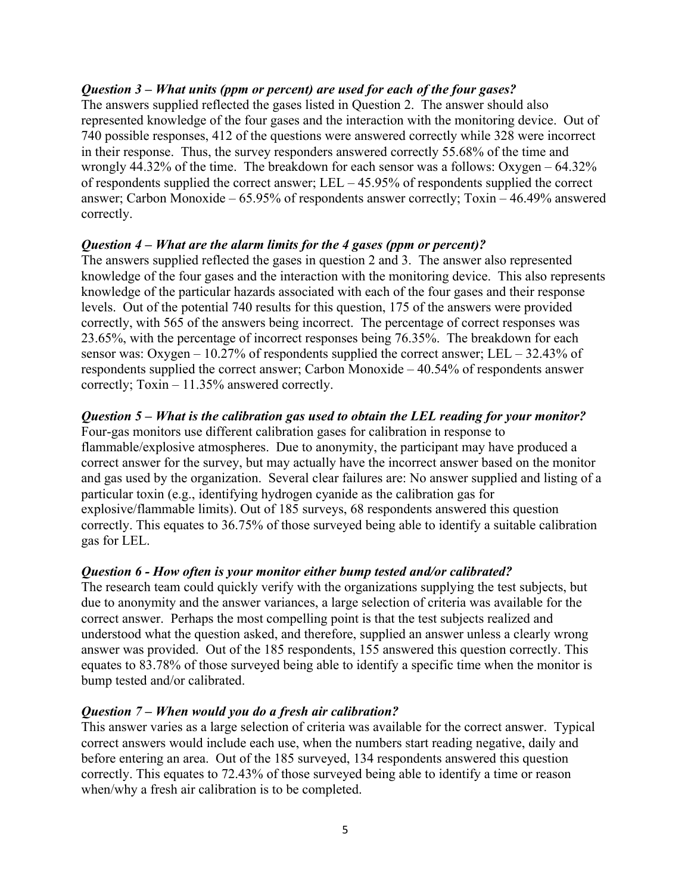#### *Question 3 – What units (ppm or percent) are used for each of the four gases?*

The answers supplied reflected the gases listed in Question 2. The answer should also represented knowledge of the four gases and the interaction with the monitoring device. Out of 740 possible responses, 412 of the questions were answered correctly while 328 were incorrect in their response. Thus, the survey responders answered correctly 55.68% of the time and wrongly 44.32% of the time. The breakdown for each sensor was a follows: Oxygen – 64.32% of respondents supplied the correct answer; LEL – 45.95% of respondents supplied the correct answer; Carbon Monoxide – 65.95% of respondents answer correctly; Toxin – 46.49% answered correctly.

#### *Question 4 – What are the alarm limits for the 4 gases (ppm or percent)?*

The answers supplied reflected the gases in question 2 and 3. The answer also represented knowledge of the four gases and the interaction with the monitoring device. This also represents knowledge of the particular hazards associated with each of the four gases and their response levels. Out of the potential 740 results for this question, 175 of the answers were provided correctly, with 565 of the answers being incorrect. The percentage of correct responses was 23.65%, with the percentage of incorrect responses being 76.35%. The breakdown for each sensor was: Oxygen – 10.27% of respondents supplied the correct answer; LEL – 32.43% of respondents supplied the correct answer; Carbon Monoxide – 40.54% of respondents answer correctly; Toxin – 11.35% answered correctly.

#### *Question 5 – What is the calibration gas used to obtain the LEL reading for your monitor?*

Four-gas monitors use different calibration gases for calibration in response to flammable/explosive atmospheres. Due to anonymity, the participant may have produced a correct answer for the survey, but may actually have the incorrect answer based on the monitor and gas used by the organization. Several clear failures are: No answer supplied and listing of a particular toxin (e.g., identifying hydrogen cyanide as the calibration gas for explosive/flammable limits). Out of 185 surveys, 68 respondents answered this question correctly. This equates to 36.75% of those surveyed being able to identify a suitable calibration gas for LEL.

#### *Question 6 - How often is your monitor either bump tested and/or calibrated?*

The research team could quickly verify with the organizations supplying the test subjects, but due to anonymity and the answer variances, a large selection of criteria was available for the correct answer. Perhaps the most compelling point is that the test subjects realized and understood what the question asked, and therefore, supplied an answer unless a clearly wrong answer was provided. Out of the 185 respondents, 155 answered this question correctly. This equates to 83.78% of those surveyed being able to identify a specific time when the monitor is bump tested and/or calibrated.

#### *Question 7 – When would you do a fresh air calibration?*

This answer varies as a large selection of criteria was available for the correct answer. Typical correct answers would include each use, when the numbers start reading negative, daily and before entering an area. Out of the 185 surveyed, 134 respondents answered this question correctly. This equates to 72.43% of those surveyed being able to identify a time or reason when/why a fresh air calibration is to be completed.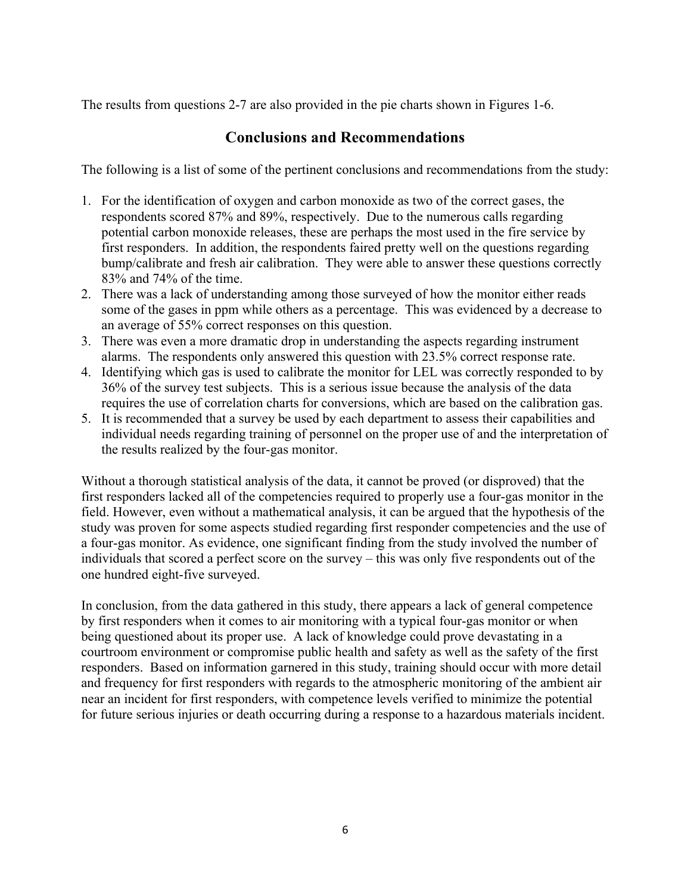The results from questions 2-7 are also provided in the pie charts shown in Figures 1-6.

# **Conclusions and Recommendations**

The following is a list of some of the pertinent conclusions and recommendations from the study:

- 1. For the identification of oxygen and carbon monoxide as two of the correct gases, the respondents scored 87% and 89%, respectively. Due to the numerous calls regarding potential carbon monoxide releases, these are perhaps the most used in the fire service by first responders. In addition, the respondents faired pretty well on the questions regarding bump/calibrate and fresh air calibration. They were able to answer these questions correctly 83% and 74% of the time.
- 2. There was a lack of understanding among those surveyed of how the monitor either reads some of the gases in ppm while others as a percentage. This was evidenced by a decrease to an average of 55% correct responses on this question.
- 3. There was even a more dramatic drop in understanding the aspects regarding instrument alarms. The respondents only answered this question with 23.5% correct response rate.
- 4. Identifying which gas is used to calibrate the monitor for LEL was correctly responded to by 36% of the survey test subjects. This is a serious issue because the analysis of the data requires the use of correlation charts for conversions, which are based on the calibration gas.
- 5. It is recommended that a survey be used by each department to assess their capabilities and individual needs regarding training of personnel on the proper use of and the interpretation of the results realized by the four-gas monitor.

Without a thorough statistical analysis of the data, it cannot be proved (or disproved) that the first responders lacked all of the competencies required to properly use a four-gas monitor in the field. However, even without a mathematical analysis, it can be argued that the hypothesis of the study was proven for some aspects studied regarding first responder competencies and the use of a four-gas monitor. As evidence, one significant finding from the study involved the number of individuals that scored a perfect score on the survey – this was only five respondents out of the one hundred eight-five surveyed.

In conclusion, from the data gathered in this study, there appears a lack of general competence by first responders when it comes to air monitoring with a typical four-gas monitor or when being questioned about its proper use. A lack of knowledge could prove devastating in a courtroom environment or compromise public health and safety as well as the safety of the first responders. Based on information garnered in this study, training should occur with more detail and frequency for first responders with regards to the atmospheric monitoring of the ambient air near an incident for first responders, with competence levels verified to minimize the potential for future serious injuries or death occurring during a response to a hazardous materials incident.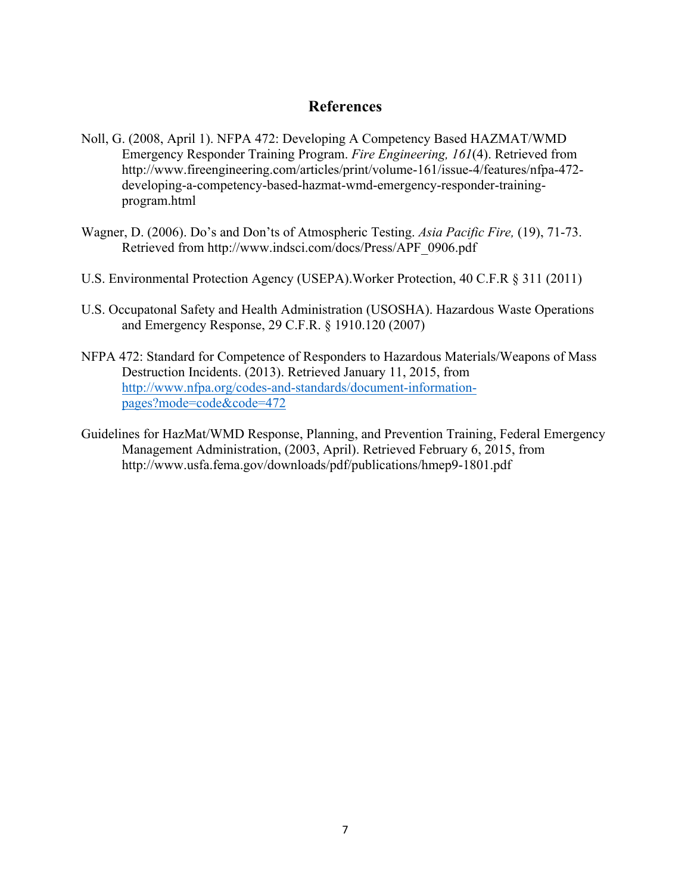### **References**

- Noll, G. (2008, April 1). NFPA 472: Developing A Competency Based HAZMAT/WMD Emergency Responder Training Program. *Fire Engineering, 161*(4). Retrieved from http://www.fireengineering.com/articles/print/volume-161/issue-4/features/nfpa-472 developing-a-competency-based-hazmat-wmd-emergency-responder-trainingprogram.html
- Wagner, D. (2006). Do's and Don'ts of Atmospheric Testing. *Asia Pacific Fire,* (19), 71-73. Retrieved from http://www.indsci.com/docs/Press/APF\_0906.pdf
- U.S. Environmental Protection Agency (USEPA).Worker Protection, 40 C.F.R § 311 (2011)
- U.S. Occupatonal Safety and Health Administration (USOSHA). Hazardous Waste Operations and Emergency Response, 29 C.F.R. § 1910.120 (2007)
- NFPA 472: Standard for Competence of Responders to Hazardous Materials/Weapons of Mass Destruction Incidents. (2013). Retrieved January 11, 2015, from http://www.nfpa.org/codes-and-standards/document-informationpages?mode=code&code=472
- Guidelines for HazMat/WMD Response, Planning, and Prevention Training, Federal Emergency Management Administration, (2003, April). Retrieved February 6, 2015, from http://www.usfa.fema.gov/downloads/pdf/publications/hmep9-1801.pdf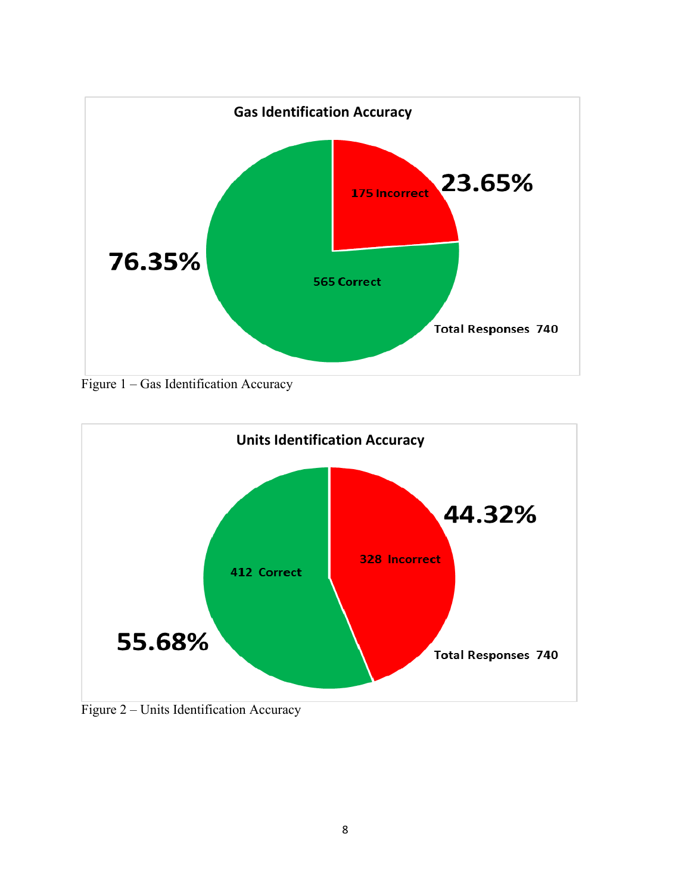

Figure 1 – Gas Identification Accuracy



Figure 2 – Units Identification Accuracy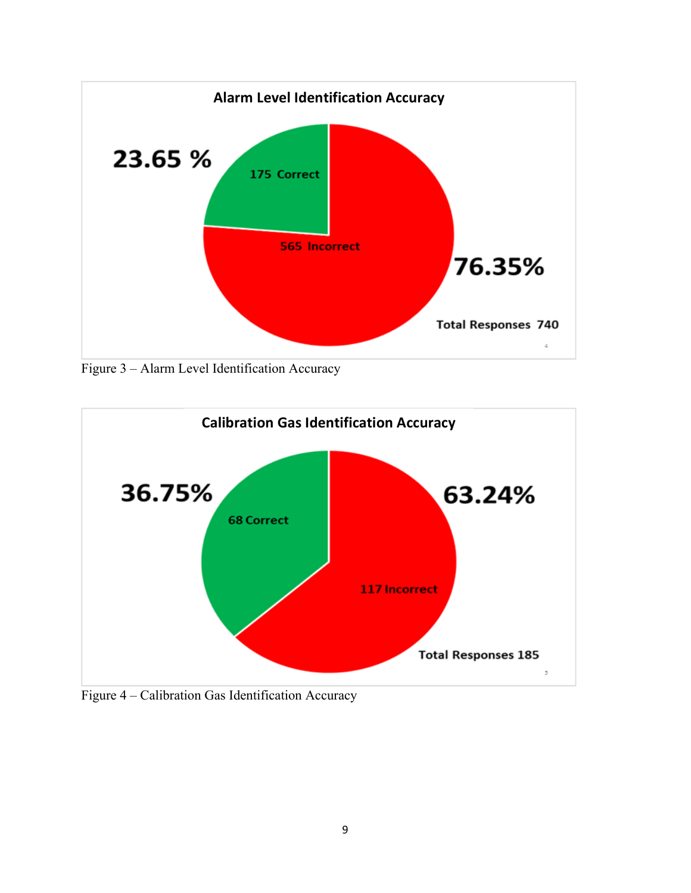

Figure 3 – Alarm Level Identification Accuracy



Figure 4 – Calibration Gas Identification Accuracy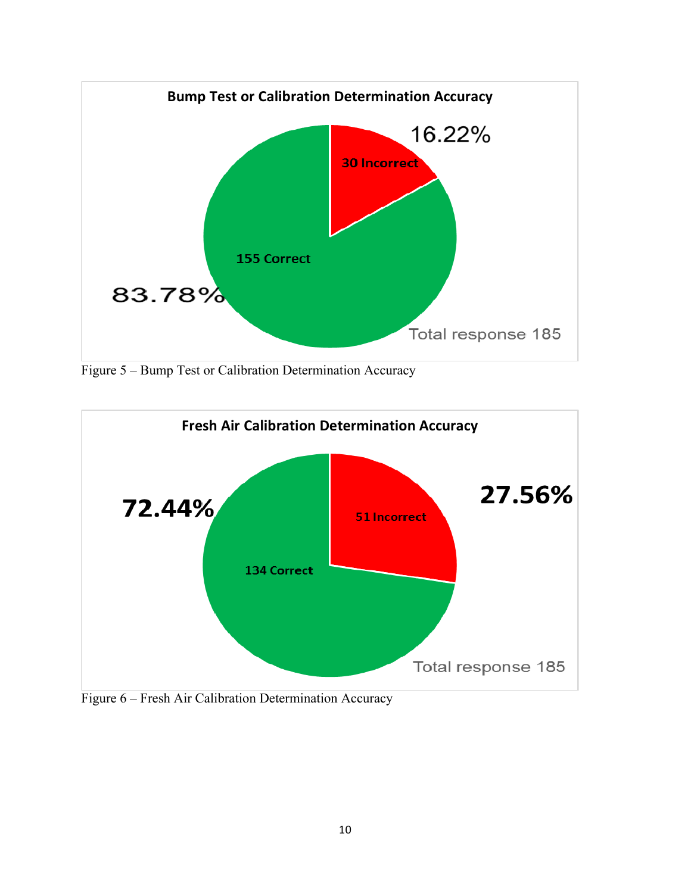

Figure 5 – Bump Test or Calibration Determination Accuracy



Figure 6 – Fresh Air Calibration Determination Accuracy